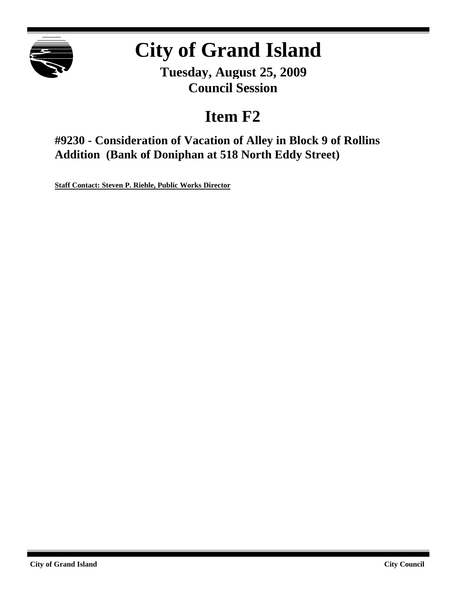

# **City of Grand Island**

**Tuesday, August 25, 2009 Council Session**

## **Item F2**

**#9230 - Consideration of Vacation of Alley in Block 9 of Rollins Addition (Bank of Doniphan at 518 North Eddy Street)**

**Staff Contact: Steven P. Riehle, Public Works Director**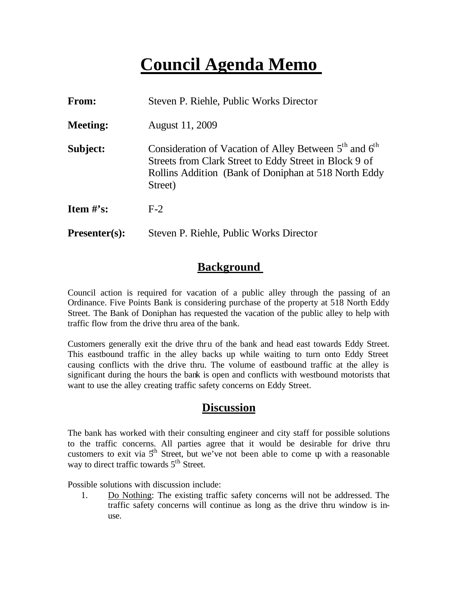## **Council Agenda Memo**

| <b>From:</b>                   | Steven P. Riehle, Public Works Director                                                                                                                                                                     |
|--------------------------------|-------------------------------------------------------------------------------------------------------------------------------------------------------------------------------------------------------------|
| <b>Meeting:</b>                | August 11, 2009                                                                                                                                                                                             |
| Subject:                       | Consideration of Vacation of Alley Between 5 <sup>th</sup> and 6 <sup>th</sup><br>Streets from Clark Street to Eddy Street in Block 9 of<br>Rollins Addition (Bank of Doniphan at 518 North Eddy<br>Street) |
| <b>Item <math>\#</math>'s:</b> | $F-2$                                                                                                                                                                                                       |
| <b>Presenter(s):</b>           | Steven P. Riehle, Public Works Director                                                                                                                                                                     |

### **Background**

Council action is required for vacation of a public alley through the passing of an Ordinance. Five Points Bank is considering purchase of the property at 518 North Eddy Street. The Bank of Doniphan has requested the vacation of the public alley to help with traffic flow from the drive thru area of the bank.

Customers generally exit the drive thru of the bank and head east towards Eddy Street. This eastbound traffic in the alley backs up while waiting to turn onto Eddy Street causing conflicts with the drive thru. The volume of eastbound traffic at the alley is significant during the hours the bank is open and conflicts with westbound motorists that want to use the alley creating traffic safety concerns on Eddy Street.

### **Discussion**

The bank has worked with their consulting engineer and city staff for possible solutions to the traffic concerns. All parties agree that it would be desirable for drive thru customers to exit via  $5<sup>th</sup>$  Street, but we've not been able to come  $\psi$  with a reasonable way to direct traffic towards  $5<sup>th</sup>$  Street.

Possible solutions with discussion include:

1. Do Nothing: The existing traffic safety concerns will not be addressed. The traffic safety concerns will continue as long as the drive thru window is inuse.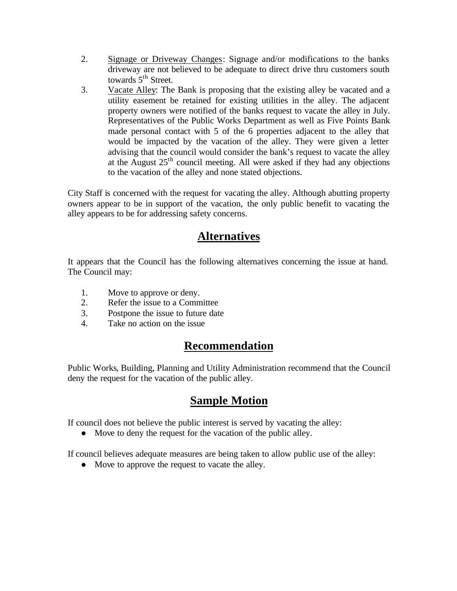- 2. Signage or Driveway Changes: Signage and/or modifications to the banks driveway are not believed to be adequate to direct drive thru customers south towards  $5<sup>th</sup>$  Street.
- 3. Vacate Alley: The Bank is proposing that the existing alley be vacated and a utility easement be retained for existing utilities in the alley. The adjacent property owners were notified of the banks request to vacate the alley in July. Representatives of the Public Works Department as well as Five Points Bank made personal contact with 5 of the 6 properties adjacent to the alley that would be impacted by the vacation of the alley. They were given a letter advising that the council would consider the bank's request to vacate the alley at the August  $25<sup>th</sup>$  council meeting. All were asked if they had any objections to the vacation of the alley and none stated objections.

City Staff is concerned with the request for vacating the alley. Although abutting property owners appear to be in support of the vacation, the only public benefit to vacating the alley appears to be for addressing safety concerns.

### **Alternatives**

It appears that the Council has the following alternatives concerning the issue at hand. The Council may:

- 1. Move to approve or deny.
- 2. Refer the issue to a Committee
- 3. Postpone the issue to future date
- 4. Take no action on the issue

### **Recommendation**

Public Works, Building, Planning and Utility Administration recommend that the Council deny the request for the vacation of the public alley.

### **Sample Motion**

If council does not believe the public interest is served by vacating the alley:

• Move to deny the request for the vacation of the public alley.

If council believes adequate measures are being taken to allow public use of the alley:

• Move to approve the request to vacate the alley.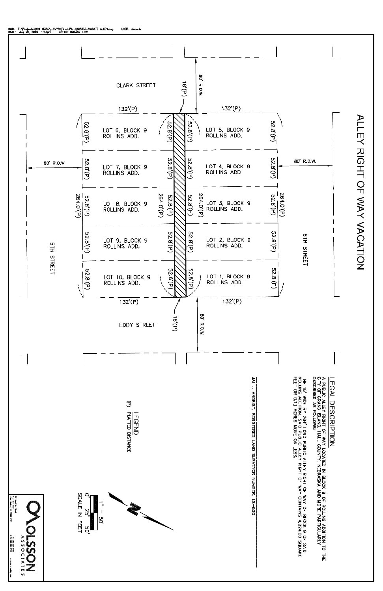

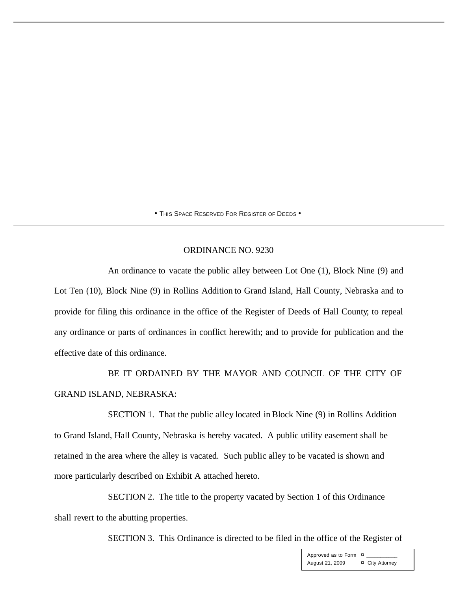• THIS SPACE RESERVED FOR REGISTER OF DEEDS •

#### ORDINANCE NO. 9230

An ordinance to vacate the public alley between Lot One (1), Block Nine (9) and Lot Ten (10), Block Nine (9) in Rollins Addition to Grand Island, Hall County, Nebraska and to provide for filing this ordinance in the office of the Register of Deeds of Hall County; to repeal any ordinance or parts of ordinances in conflict herewith; and to provide for publication and the effective date of this ordinance.

BE IT ORDAINED BY THE MAYOR AND COUNCIL OF THE CITY OF GRAND ISLAND, NEBRASKA:

SECTION 1. That the public alley located in Block Nine (9) in Rollins Addition to Grand Island, Hall County, Nebraska is hereby vacated. A public utility easement shall be retained in the area where the alley is vacated. Such public alley to be vacated is shown and more particularly described on Exhibit A attached hereto.

SECTION 2. The title to the property vacated by Section 1 of this Ordinance shall revert to the abutting properties.

SECTION 3. This Ordinance is directed to be filed in the office of the Register of

Approved as to Form  $\overline{a}$ August 21, 2009 ¤ City Attorney